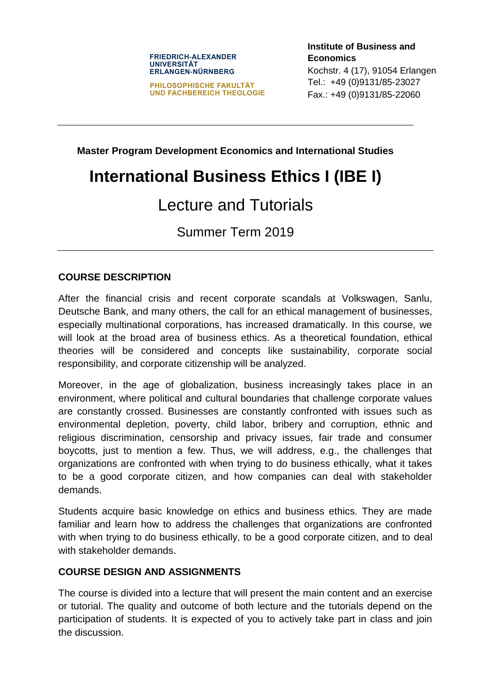#### **FRIEDRICH-ALEXANDER UNIVERSITÄT ERLANGEN-NÜRNBERG**

**PHILOSOPHISCHE FAKULTÄT UND FACHBEREICH THEOLOGIE** **Institute of Business and Economics** Kochstr. 4 (17), 91054 Erlangen Tel.: +49 (0)9131/85-23027 Fax.: +49 (0)9131/85-22060

**Master Program Development Economics and International Studies**

# **International Business Ethics I (IBE I)**

## Lecture and Tutorials

Summer Term 2019

#### **COURSE DESCRIPTION**

After the financial crisis and recent corporate scandals at Volkswagen, Sanlu, Deutsche Bank, and many others, the call for an ethical management of businesses, especially multinational corporations, has increased dramatically. In this course, we will look at the broad area of business ethics. As a theoretical foundation, ethical theories will be considered and concepts like sustainability, corporate social responsibility, and corporate citizenship will be analyzed.

Moreover, in the age of globalization, business increasingly takes place in an environment, where political and cultural boundaries that challenge corporate values are constantly crossed. Businesses are constantly confronted with issues such as environmental depletion, poverty, child labor, bribery and corruption, ethnic and religious discrimination, censorship and privacy issues, fair trade and consumer boycotts, just to mention a few. Thus, we will address, e.g., the challenges that organizations are confronted with when trying to do business ethically, what it takes to be a good corporate citizen, and how companies can deal with stakeholder demands.

Students acquire basic knowledge on ethics and business ethics. They are made familiar and learn how to address the challenges that organizations are confronted with when trying to do business ethically, to be a good corporate citizen, and to deal with stakeholder demands.

#### **COURSE DESIGN AND ASSIGNMENTS**

The course is divided into a lecture that will present the main content and an exercise or tutorial. The quality and outcome of both lecture and the tutorials depend on the participation of students. It is expected of you to actively take part in class and join the discussion.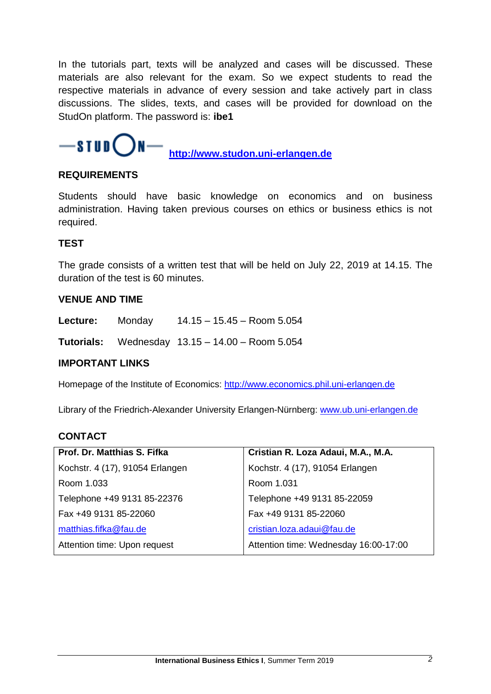In the tutorials part, texts will be analyzed and cases will be discussed. These materials are also relevant for the exam. So we expect students to read the respective materials in advance of every session and take actively part in class discussions. The slides, texts, and cases will be provided for download on the StudOn platform. The password is: **ibe1**

### $-$ stud()N **[http://www.studon.uni-erlangen.de](http://www.studon.uni-erlangen.de/)**

#### **REQUIREMENTS**

Students should have basic knowledge on economics and on business administration. Having taken previous courses on ethics or business ethics is not required.

#### **TEST**

The grade consists of a written test that will be held on July 22, 2019 at 14.15. The duration of the test is 60 minutes.

#### **VENUE AND TIME**

| Lecture: | <b>Monday</b> | $14.15 - 15.45 -$ Room 5.054 |
|----------|---------------|------------------------------|
|          |               |                              |

**Tutorials:** Wednesday 13.15 – 14.00 – Room 5.054

#### **IMPORTANT LINKS**

Homepage of the Institute of Economics: [http://www.economics.phil.uni-erlangen.de](http://www.economics.phil.uni-erlangen.de/) 

Library of the Friedrich-Alexander University Erlangen-Nürnberg: [www.ub.uni-erlangen.de](http://www.ub.uni-erlangen.de/)

#### **CONTACT**

| Prof. Dr. Matthias S. Fifka     | Cristian R. Loza Adaui, M.A., M.A.    |  |
|---------------------------------|---------------------------------------|--|
| Kochstr. 4 (17), 91054 Erlangen | Kochstr. 4 (17), 91054 Erlangen       |  |
| Room 1.033                      | Room 1.031                            |  |
| Telephone +49 9131 85-22376     | Telephone +49 9131 85-22059           |  |
| Fax +49 9131 85-22060           | Fax +49 9131 85-22060                 |  |
| matthias.fifka@fau.de           | cristian.loza.adaui@fau.de            |  |
| Attention time: Upon request    | Attention time: Wednesday 16:00-17:00 |  |